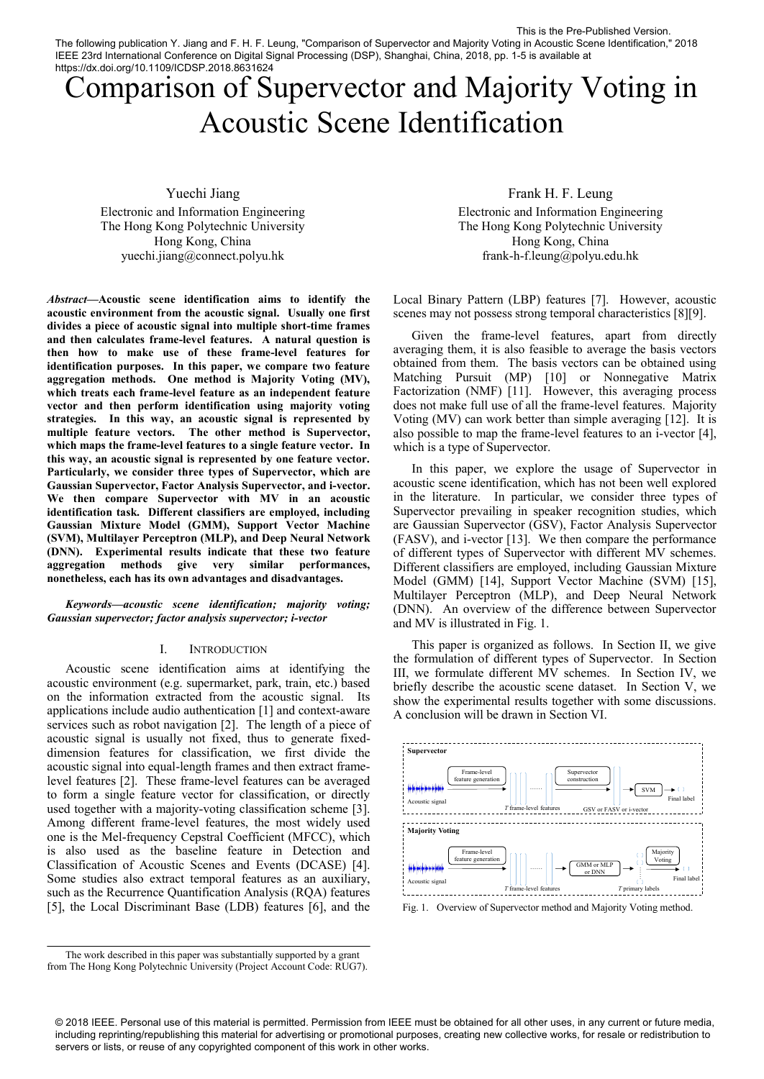This is the Pre-Published Version.

The following publication Y. Jiang and F. H. F. Leung, "Comparison of Supervector and Majority Voting in Acoustic Scene Identification," 2018 IEEE 23rd International Conference on Digital Signal Processing (DSP), Shanghai, China, 2018, pp. 1-5 is available at https://dx.doi.org/10.1109/ICDSP.2018.8631624

# Comparison of Supervector and Majority Voting in Acoustic Scene Identification

Yuechi Jiang

Electronic and Information Engineering The Hong Kong Polytechnic University Hong Kong, China yuechi.jiang@connect.polyu.hk

*Abstract***—Acoustic scene identification aims to identify the acoustic environment from the acoustic signal. Usually one first divides a piece of acoustic signal into multiple short-time frames and then calculates frame-level features. A natural question is then how to make use of these frame-level features for identification purposes. In this paper, we compare two feature aggregation methods. One method is Majority Voting (MV), which treats each frame-level feature as an independent feature vector and then perform identification using majority voting strategies. In this way, an acoustic signal is represented by multiple feature vectors. The other method is Supervector, which maps the frame-level features to a single feature vector. In this way, an acoustic signal is represented by one feature vector. Particularly, we consider three types of Supervector, which are Gaussian Supervector, Factor Analysis Supervector, and i-vector. We then compare Supervector with MV in an acoustic identification task. Different classifiers are employed, including Gaussian Mixture Model (GMM), Support Vector Machine (SVM), Multilayer Perceptron (MLP), and Deep Neural Network (DNN). Experimental results indicate that these two feature aggregation methods give very similar performances, nonetheless, each has its own advantages and disadvantages.** 

## *Keywords—acoustic scene identification; majority voting; Gaussian supervector; factor analysis supervector; i-vector*

### I. INTRODUCTION

Acoustic scene identification aims at identifying the acoustic environment (e.g. supermarket, park, train, etc.) based on the information extracted from the acoustic signal. Its applications include audio authentication [1] and context-aware services such as robot navigation [2]. The length of a piece of acoustic signal is usually not fixed, thus to generate fixeddimension features for classification, we first divide the acoustic signal into equal-length frames and then extract framelevel features [2]. These frame-level features can be averaged to form a single feature vector for classification, or directly used together with a majority-voting classification scheme [3]. Among different frame-level features, the most widely used one is the Mel-frequency Cepstral Coefficient (MFCC), which is also used as the baseline feature in Detection and Classification of Acoustic Scenes and Events (DCASE) [4]. Some studies also extract temporal features as an auxiliary, such as the Recurrence Quantification Analysis (RQA) features [5], the Local Discriminant Base (LDB) features [6], and the

Frank H. F. Leung Electronic and Information Engineering

The Hong Kong Polytechnic University Hong Kong, China frank-h-f.leung@polyu.edu.hk

Local Binary Pattern (LBP) features [7]. However, acoustic scenes may not possess strong temporal characteristics [8][9].

Given the frame-level features, apart from directly averaging them, it is also feasible to average the basis vectors obtained from them. The basis vectors can be obtained using Matching Pursuit (MP) [10] or Nonnegative Matrix Factorization (NMF) [11]. However, this averaging process does not make full use of all the frame-level features. Majority Voting (MV) can work better than simple averaging [12]. It is also possible to map the frame-level features to an i-vector [4], which is a type of Supervector.

In this paper, we explore the usage of Supervector in acoustic scene identification, which has not been well explored in the literature. In particular, we consider three types of Supervector prevailing in speaker recognition studies, which are Gaussian Supervector (GSV), Factor Analysis Supervector (FASV), and i-vector [13]. We then compare the performance of different types of Supervector with different MV schemes. Different classifiers are employed, including Gaussian Mixture Model (GMM) [14], Support Vector Machine (SVM) [15], Multilayer Perceptron (MLP), and Deep Neural Network (DNN). An overview of the difference between Supervector and MV is illustrated in Fig. 1.

This paper is organized as follows. In Section II, we give the formulation of different types of Supervector. In Section III, we formulate different MV schemes. In Section IV, we briefly describe the acoustic scene dataset. In Section V, we show the experimental results together with some discussions. A conclusion will be drawn in Section VI.



Fig. 1. Overview of Supervector method and Majority Voting method.

© 2018 IEEE. Personal use of this material is permitted. Permission from IEEE must be obtained for all other uses, in any current or future media, including reprinting/republishing this material for advertising or promotional purposes, creating new collective works, for resale or redistribution to servers or lists, or reuse of any copyrighted component of this work in other works.

The work described in this paper was substantially supported by a grant from The Hong Kong Polytechnic University (Project Account Code: RUG7).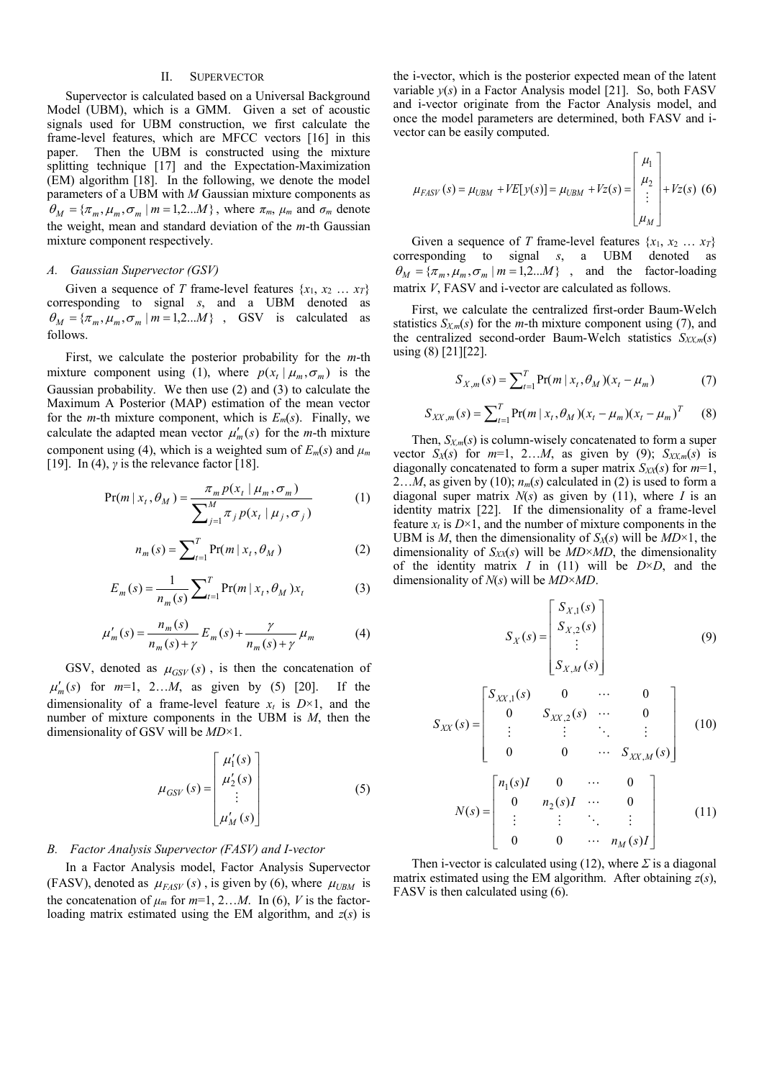## II. SUPERVECTOR

Supervector is calculated based on a Universal Background Model (UBM), which is a GMM. Given a set of acoustic signals used for UBM construction, we first calculate the frame-level features, which are MFCC vectors [16] in this paper. Then the UBM is constructed using the mixture splitting technique [17] and the Expectation-Maximization (EM) algorithm [18]. In the following, we denote the model parameters of a UBM with *M* Gaussian mixture components as  $\theta_M = {\pi_m, \mu_m, \sigma_m \mid m = 1,2...M}$ , where  $\pi_m, \mu_m$  and  $\sigma_m$  denote the weight, mean and standard deviation of the *m*-th Gaussian mixture component respectively.

## *A. Gaussian Supervector (GSV)*

Given a sequence of *T* frame-level features  $\{x_1, x_2, \ldots, x_T\}$ corresponding to signal *s*, and a UBM denoted as  $\theta_M = {\pi_m, \mu_m, \sigma_m | m = 1,2...M}$ , GSV is calculated as follows.

First, we calculate the posterior probability for the *m*-th mixture component using (1), where  $p(x_t | \mu_m, \sigma_m)$  is the Gaussian probability. We then use (2) and (3) to calculate the Maximum A Posterior (MAP) estimation of the mean vector for the *m*-th mixture component, which is *Em*(*s*). Finally, we calculate the adapted mean vector  $\mu'_m(s)$  for the *m*-th mixture component using (4), which is a weighted sum of  $E_m(s)$  and  $\mu_m$ [19]. In (4), *γ* is the relevance factor [18].

$$
\Pr(m \mid x_t, \theta_M) = \frac{\pi_m p(x_t \mid \mu_m, \sigma_m)}{\sum_{j=1}^M \pi_j p(x_t \mid \mu_j, \sigma_j)}
$$
(1)

$$
n_m(s) = \sum_{t=1}^{T} \Pr(m \, | \, x_t, \theta_M)
$$
 (2)

$$
E_m(s) = \frac{1}{n_m(s)} \sum_{t=1}^{T} \Pr(m \mid x_t, \theta_M) x_t
$$
 (3)

$$
\mu'_{m}(s) = \frac{n_{m}(s)}{n_{m}(s) + \gamma} E_{m}(s) + \frac{\gamma}{n_{m}(s) + \gamma} \mu_{m}
$$
(4)

GSV, denoted as  $\mu_{GSV}(s)$ , is then the concatenation of  $\mu'_m(s)$  for  $m=1, 2...M$ , as given by (5) [20]. If the dimensionality of a frame-level feature  $x_t$  is  $D \times 1$ , and the number of mixture components in the UBM is *M*, then the dimensionality of GSV will be *MD*×1.

$$
\mu_{GSV}(s) = \begin{bmatrix} \mu'_1(s) \\ \mu'_2(s) \\ \vdots \\ \mu'_M(s) \end{bmatrix}
$$
 (5)

## *B. Factor Analysis Supervector (FASV) and I-vector*

In a Factor Analysis model, Factor Analysis Supervector (FASV), denoted as  $\mu_{FASV}(s)$ , is given by (6), where  $\mu_{UBM}$  is the concatenation of  $\mu_m$  for  $m=1, 2...M$ . In (6), V is the factorloading matrix estimated using the EM algorithm, and *z*(*s*) is

the i-vector, which is the posterior expected mean of the latent variable *y*(*s*) in a Factor Analysis model [21]. So, both FASV and i-vector originate from the Factor Analysis model, and once the model parameters are determined, both FASV and ivector can be easily computed.

$$
\mu_{FASV}(s) = \mu_{UBM} + VE[y(s)] = \mu_{UBM} + Vz(s) = \begin{bmatrix} \mu_1 \\ \mu_2 \\ \vdots \\ \mu_M \end{bmatrix} + Vz(s)
$$
 (6)

Given a sequence of *T* frame-level features  $\{x_1, x_2, \ldots, x_T\}$ corresponding to signal *s*, a UBM denoted as  $\theta_M = {\pi_m, \mu_m, \sigma_m | m = 1,2...M}$ , and the factor-loading matrix *V*, FASV and i-vector are calculated as follows.

First, we calculate the centralized first-order Baum-Welch statistics  $S_{X,m}(s)$  for the *m*-th mixture component using (7), and the centralized second-order Baum-Welch statistics *SXX,m*(*s*) using (8) [21][22].

$$
S_{X,m}(s) = \sum_{t=1}^{T} \Pr(m \mid x_t, \theta_M)(x_t - \mu_m)
$$
 (7)

$$
S_{XX,m}(s) = \sum_{t=1}^{T} \Pr(m \mid x_t, \theta_M)(x_t - \mu_m)(x_t - \mu_m)^T \tag{8}
$$

Then,  $S_{X,m}(s)$  is column-wisely concatenated to form a super vector  $S_X(s)$  for  $m=1$ , 2...*M*, as given by (9);  $S_{XX,m}(s)$  is diagonally concatenated to form a super matrix  $S_{XX}(s)$  for  $m=1$ , 2...*M*, as given by (10);  $n_m(s)$  calculated in (2) is used to form a diagonal super matrix  $N(s)$  as given by (11), where *I* is an identity matrix [22]. If the dimensionality of a frame-level feature  $x_t$  is  $D \times 1$ , and the number of mixture components in the UBM is *M*, then the dimensionality of  $S_X(s)$  will be  $MD \times 1$ , the dimensionality of  $S_{XX}(s)$  will be  $MD \times MD$ , the dimensionality of the identity matrix *I* in (11) will be *D*×*D*, and the dimensionality of *N*(*s*) will be *MD*×*MD*.

$$
S_X(s) = \begin{bmatrix} S_{X,1}(s) \\ S_{X,2}(s) \\ \vdots \\ S_{X,M}(s) \end{bmatrix}
$$
(9)

$$
S_{XX}(s) = \begin{bmatrix} S_{XX,1}(s) & 0 & \cdots & 0 \\ 0 & S_{XX,2}(s) & \cdots & 0 \\ \vdots & \vdots & \ddots & \vdots \\ 0 & 0 & \cdots & S_{XX,M}(s) \end{bmatrix}
$$
 (10)

$$
N(s) = \begin{bmatrix} n_1(s)I & 0 & \cdots & 0 \\ 0 & n_2(s)I & \cdots & 0 \\ \vdots & \vdots & \ddots & \vdots \\ 0 & 0 & \cdots & n_M(s)I \end{bmatrix}
$$
 (11)

Then i-vector is calculated using (12), where  $\Sigma$  is a diagonal matrix estimated using the EM algorithm. After obtaining *z*(*s*), FASV is then calculated using (6).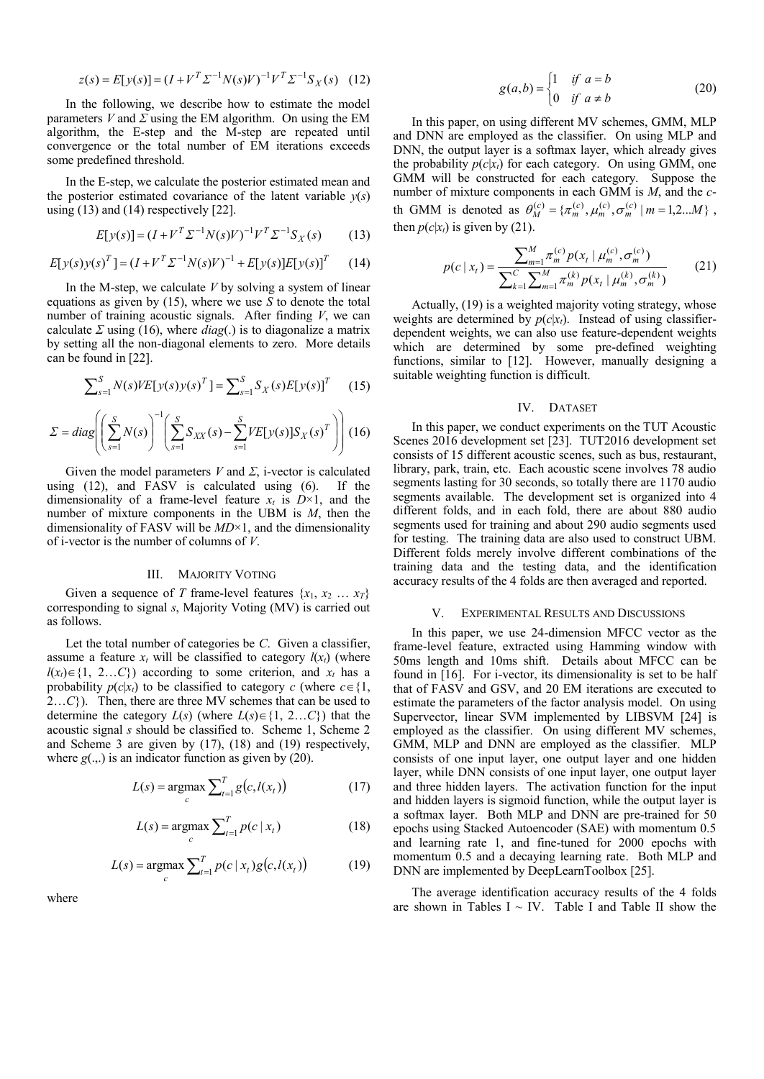$$
z(s) = E[y(s)] = (I + V^T \Sigma^{-1} N(s) V)^{-1} V^T \Sigma^{-1} S_X(s)
$$
 (12)

In the following, we describe how to estimate the model parameters *V* and  $\Sigma$  using the EM algorithm. On using the EM algorithm, the E-step and the M-step are repeated until convergence or the total number of EM iterations exceeds some predefined threshold.

In the E-step, we calculate the posterior estimated mean and the posterior estimated covariance of the latent variable  $y(s)$ using (13) and (14) respectively [22].

$$
E[y(s)] = (I + V^T \Sigma^{-1} N(s) V)^{-1} V^T \Sigma^{-1} S_X(s)
$$
 (13)

$$
E[y(s)y(s)^{T}] = (I + V^{T} \Sigma^{-1} N(s) V)^{-1} + E[y(s)] E[y(s)]^{T}
$$
 (14)

In the M-step, we calculate *V* by solving a system of linear equations as given by (15), where we use *S* to denote the total number of training acoustic signals. After finding *V*, we can calculate *Σ* using (16), where  $diag(.)$  is to diagonalize a matrix by setting all the non-diagonal elements to zero. More details can be found in [22].

$$
\sum_{s=1}^{S} N(s)VE[y(s)y(s)^{T}] = \sum_{s=1}^{S} S_{X}(s)E[y(s)]^{T}
$$
 (15)

$$
\Sigma = diag \left( \left( \sum_{s=1}^{S} N(s) \right)^{-1} \left( \sum_{s=1}^{S} S_{XX}(s) - \sum_{s=1}^{S} V E[y(s)] S_{X}(s)^{T} \right) \right) (16)
$$

Given the model parameters *V* and *Σ*, i-vector is calculated using  $(12)$ , and FASV is calculated using  $(6)$ . If the dimensionality of a frame-level feature  $x_t$  is  $D \times 1$ , and the number of mixture components in the UBM is *M*, then the dimensionality of FASV will be *MD*×1, and the dimensionality of i-vector is the number of columns of *V*.

#### III. MAJORITY VOTING

Given a sequence of *T* frame-level features  $\{x_1, x_2, \ldots, x_T\}$ corresponding to signal *s*, Majority Voting (MV) is carried out as follows.

Let the total number of categories be *C*. Given a classifier, assume a feature  $x_t$  will be classified to category  $l(x_t)$  (where  $l(x_t) \in \{1, 2...C\}$  according to some criterion, and  $x_t$  has a probability  $p(c|x_i)$  to be classified to category *c* (where  $c \in \{1,$ 2…*C*}). Then, there are three MV schemes that can be used to determine the category  $L(s)$  (where  $L(s) \in \{1, 2...C\}$ ) that the acoustic signal *s* should be classified to. Scheme 1, Scheme 2 and Scheme 3 are given by (17), (18) and (19) respectively, where  $g(.,.)$  is an indicator function as given by  $(20)$ .

$$
L(s) = \underset{c}{\operatorname{argmax}} \sum_{t=1}^{T} g(c, l(x_t))
$$
 (17)

$$
L(s) = \underset{c}{\operatorname{argmax}} \sum_{t=1}^{T} p(c \mid x_t)
$$
 (18)

$$
L(s) = \underset{c}{\text{argmax}} \sum_{t=1}^{T} p(c \mid x_t) g(c, l(x_t))
$$
 (19)

where

$$
g(a,b) = \begin{cases} 1 & \text{if } a=b \\ 0 & \text{if } a \neq b \end{cases}
$$
 (20)

In this paper, on using different MV schemes, GMM, MLP and DNN are employed as the classifier. On using MLP and DNN, the output layer is a softmax layer, which already gives the probability  $p(c|x_t)$  for each category. On using GMM, one GMM will be constructed for each category. Suppose the number of mixture components in each GMM is *M*, and the *c*th GMM is denoted as  $\theta_M^{(c)} = {\pi_m^{(c)}, \mu_m^{(c)}, \sigma_m^{(c)} \mid m = 1,2...M}$ , then  $p(c|x_t)$  is given by (21).

$$
p(c \mid x_t) = \frac{\sum_{m=1}^{M} \pi_m^{(c)} p(x_t \mid \mu_m^{(c)}, \sigma_m^{(c)})}{\sum_{k=1}^{C} \sum_{m=1}^{M} \pi_m^{(k)} p(x_t \mid \mu_m^{(k)}, \sigma_m^{(k)})}
$$
(21)

Actually, (19) is a weighted majority voting strategy, whose weights are determined by  $p(c|x_t)$ . Instead of using classifierdependent weights, we can also use feature-dependent weights which are determined by some pre-defined weighting functions, similar to [12]. However, manually designing a suitable weighting function is difficult.

## IV. DATASET

In this paper, we conduct experiments on the TUT Acoustic Scenes 2016 development set [23]. TUT2016 development set consists of 15 different acoustic scenes, such as bus, restaurant, library, park, train, etc. Each acoustic scene involves 78 audio segments lasting for 30 seconds, so totally there are 1170 audio segments available. The development set is organized into 4 different folds, and in each fold, there are about 880 audio segments used for training and about 290 audio segments used for testing. The training data are also used to construct UBM. Different folds merely involve different combinations of the training data and the testing data, and the identification accuracy results of the 4 folds are then averaged and reported.

#### V. EXPERIMENTAL RESULTS AND DISCUSSIONS

In this paper, we use 24-dimension MFCC vector as the frame-level feature, extracted using Hamming window with 50ms length and 10ms shift. Details about MFCC can be found in [16]. For i-vector, its dimensionality is set to be half that of FASV and GSV, and 20 EM iterations are executed to estimate the parameters of the factor analysis model. On using Supervector, linear SVM implemented by LIBSVM [24] is employed as the classifier. On using different MV schemes, GMM, MLP and DNN are employed as the classifier. MLP consists of one input layer, one output layer and one hidden layer, while DNN consists of one input layer, one output layer and three hidden layers. The activation function for the input and hidden layers is sigmoid function, while the output layer is a softmax layer. Both MLP and DNN are pre-trained for 50 epochs using Stacked Autoencoder (SAE) with momentum 0.5 and learning rate 1, and fine-tuned for 2000 epochs with momentum 0.5 and a decaying learning rate. Both MLP and DNN are implemented by DeepLearnToolbox [25].

The average identification accuracy results of the 4 folds are shown in Tables I  $\sim$  IV. Table I and Table II show the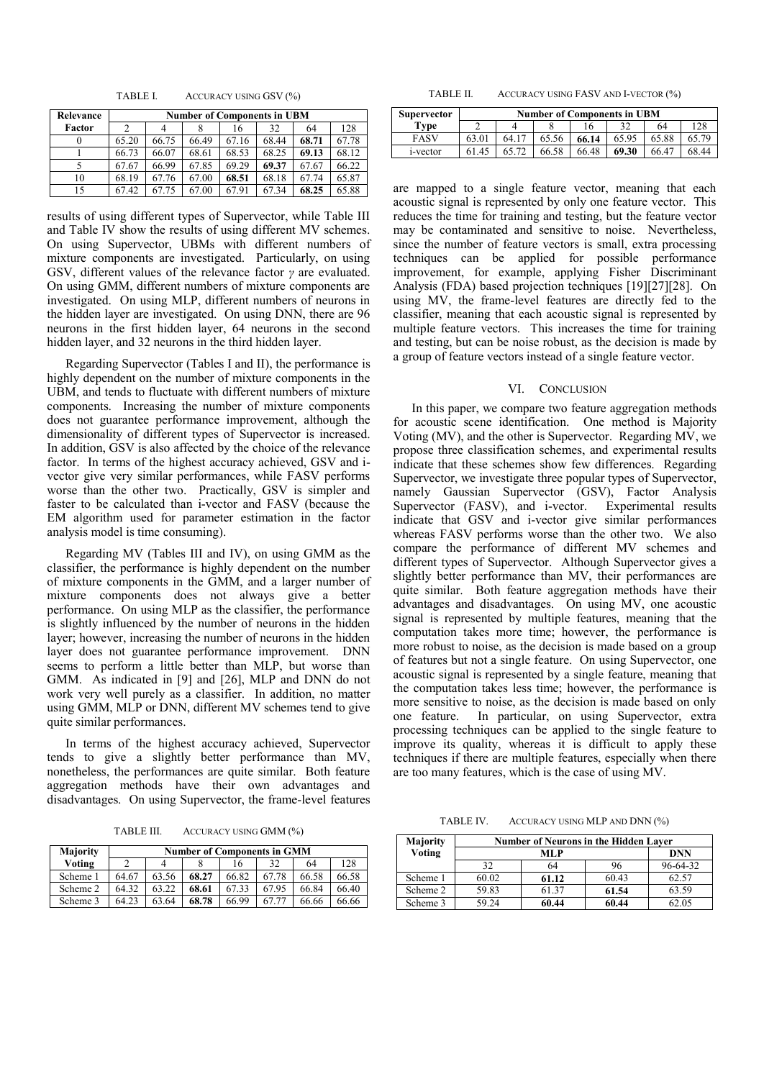| TABLE I. | ACCURACY USING GSV (%) |  |
|----------|------------------------|--|
|----------|------------------------|--|

| Relevance | <b>Number of Components in UBM</b> |       |       |       |       |       |       |
|-----------|------------------------------------|-------|-------|-------|-------|-------|-------|
| Factor    |                                    |       |       | 16    | 32    | 64    | 128   |
|           | 65.20                              | 66.75 | 66.49 | 67.16 | 68.44 | 68.71 | 67.78 |
|           | 66.73                              | 66.07 | 68.61 | 68.53 | 68.25 | 69.13 | 68.12 |
|           | 67.67                              | 66.99 | 67.85 | 69.29 | 69.37 | 67.67 | 66.22 |
| 10        | 68.19                              | 67.76 | 67.00 | 68.51 | 68.18 | 67.74 | 65.87 |
| 15        | 67.42                              | 67.75 | 67.00 | 67.91 | 67.34 | 68.25 | 65.88 |

results of using different types of Supervector, while Table III and Table IV show the results of using different MV schemes. On using Supervector, UBMs with different numbers of mixture components are investigated. Particularly, on using GSV, different values of the relevance factor *γ* are evaluated. On using GMM, different numbers of mixture components are investigated. On using MLP, different numbers of neurons in the hidden layer are investigated. On using DNN, there are 96 neurons in the first hidden layer, 64 neurons in the second hidden layer, and 32 neurons in the third hidden layer.

Regarding Supervector (Tables I and II), the performance is highly dependent on the number of mixture components in the UBM, and tends to fluctuate with different numbers of mixture components. Increasing the number of mixture components does not guarantee performance improvement, although the dimensionality of different types of Supervector is increased. In addition, GSV is also affected by the choice of the relevance factor. In terms of the highest accuracy achieved, GSV and ivector give very similar performances, while FASV performs worse than the other two. Practically, GSV is simpler and faster to be calculated than i-vector and FASV (because the EM algorithm used for parameter estimation in the factor analysis model is time consuming).

Regarding MV (Tables III and IV), on using GMM as the classifier, the performance is highly dependent on the number of mixture components in the GMM, and a larger number of mixture components does not always give a better performance. On using MLP as the classifier, the performance is slightly influenced by the number of neurons in the hidden layer; however, increasing the number of neurons in the hidden layer does not guarantee performance improvement. DNN seems to perform a little better than MLP, but worse than GMM. As indicated in [9] and [26], MLP and DNN do not work very well purely as a classifier. In addition, no matter using GMM, MLP or DNN, different MV schemes tend to give quite similar performances.

In terms of the highest accuracy achieved, Supervector tends to give a slightly better performance than MV, nonetheless, the performances are quite similar. Both feature aggregation methods have their own advantages and disadvantages. On using Supervector, the frame-level features

TABLE III. ACCURACY USING GMM (%)

| <b>Majority</b> | <b>Number of Components in GMM</b> |       |       |       |       |       |       |
|-----------------|------------------------------------|-------|-------|-------|-------|-------|-------|
| Voting          |                                    |       |       | 16    | 32    | 64    | 128   |
| Scheme 1        | 64.67                              | 63.56 | 68.27 | 66.82 | 67.78 | 66.58 | 66.58 |
| Scheme 2        | 64.32                              | 63.22 | 68.61 | 67.33 | 67.95 | 66.84 | 66.40 |
| Scheme 3        | 64.23                              | 63.64 | 68.78 | 66.99 | 67.77 | 66.66 | 66.66 |

TABLE II. ACCURACY USING FASV AND I-VECTOR (%)

| <b>Supervector</b> | <b>Number of Components in UBM</b> |       |       |       |       |       |       |
|--------------------|------------------------------------|-------|-------|-------|-------|-------|-------|
| Type               |                                    |       |       |       |       | 64    | 128   |
| FASV               | 63.01                              | 64.17 | 65.56 | 66.14 | 65.95 | 65.88 | 65.79 |
| <i>i</i> -vector   | 61.45                              |       | 66.58 | 66.48 | 69.30 | 66.47 | 68.44 |

are mapped to a single feature vector, meaning that each acoustic signal is represented by only one feature vector. This reduces the time for training and testing, but the feature vector may be contaminated and sensitive to noise. Nevertheless, since the number of feature vectors is small, extra processing techniques can be applied for possible performance improvement, for example, applying Fisher Discriminant Analysis (FDA) based projection techniques [19][27][28]. On using MV, the frame-level features are directly fed to the classifier, meaning that each acoustic signal is represented by multiple feature vectors. This increases the time for training and testing, but can be noise robust, as the decision is made by a group of feature vectors instead of a single feature vector.

## VI. CONCLUSION

In this paper, we compare two feature aggregation methods for acoustic scene identification. One method is Majority Voting (MV), and the other is Supervector. Regarding MV, we propose three classification schemes, and experimental results indicate that these schemes show few differences. Regarding Supervector, we investigate three popular types of Supervector, namely Gaussian Supervector (GSV), Factor Analysis Supervector (FASV), and i-vector. Experimental results indicate that GSV and i-vector give similar performances whereas FASV performs worse than the other two. We also compare the performance of different MV schemes and different types of Supervector. Although Supervector gives a slightly better performance than MV, their performances are quite similar. Both feature aggregation methods have their advantages and disadvantages. On using MV, one acoustic signal is represented by multiple features, meaning that the computation takes more time; however, the performance is more robust to noise, as the decision is made based on a group of features but not a single feature. On using Supervector, one acoustic signal is represented by a single feature, meaning that the computation takes less time; however, the performance is more sensitive to noise, as the decision is made based on only one feature. In particular, on using Supervector, extra processing techniques can be applied to the single feature to improve its quality, whereas it is difficult to apply these techniques if there are multiple features, especially when there are too many features, which is the case of using MV.

TABLE IV. ACCURACY USING MLP AND DNN (%)

| Majority | <b>Number of Neurons in the Hidden Laver</b> |                    |       |          |  |  |  |  |  |
|----------|----------------------------------------------|--------------------|-------|----------|--|--|--|--|--|
| Voting   |                                              | ML P<br><b>DNN</b> |       |          |  |  |  |  |  |
|          | 32                                           | 64                 | 96    | 96-64-32 |  |  |  |  |  |
| Scheme 1 | 60.02                                        | 61.12              | 60.43 | 62.57    |  |  |  |  |  |
| Scheme 2 | 59.83                                        | 61.37              | 61.54 | 63.59    |  |  |  |  |  |
| Scheme 3 | 59.24                                        | 60.44              | 60.44 | 62.05    |  |  |  |  |  |